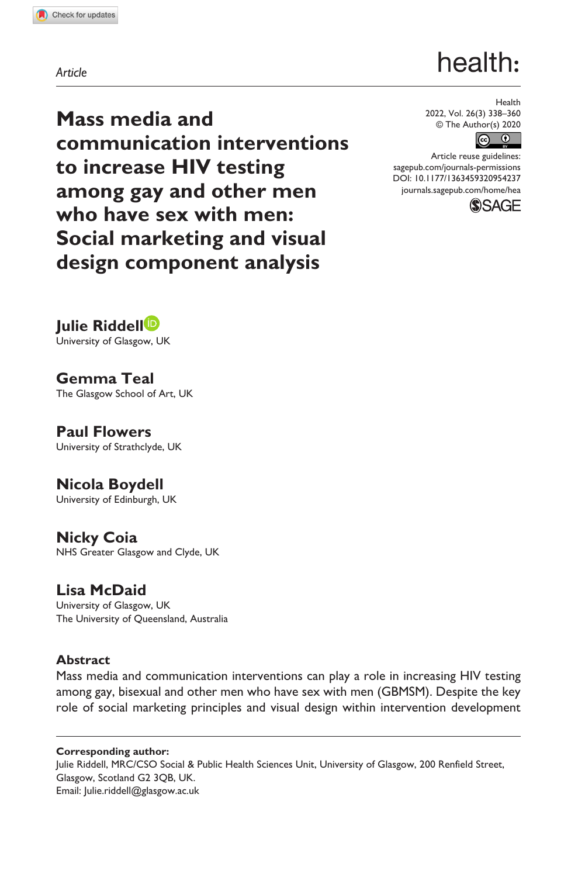## *Article*

# health:

**Mass media and communication interventions to increase HIV testing among gay and other men who have sex with men: Social marketing and visual design component analysis**

Health 2022, Vol. 26(3) 338–360 © The Author(s) 2020



Article reuse guidelines: [sagepub.com/journals-permissions](https://uk.sagepub.com/en-gb/journals-permissions) DOI: 10.1177/1363459320954237 [journals.sagepub.com/home/hea](https://journals.sagepub.com/home/hea)



**Julie Riddell** University of Glasgow, UK

**Gemma Teal** The Glasgow School of Art, UK

**Paul Flowers** University of Strathclyde, UK

**Nicola Boydell**

University of Edinburgh, UK

**Nicky Coia** NHS Greater Glasgow and Clyde, UK

**Lisa McDaid** University of Glasgow, UK The University of Queensland, Australia

# **Abstract**

Mass media and communication interventions can play a role in increasing HIV testing among gay, bisexual and other men who have sex with men (GBMSM). Despite the key role of social marketing principles and visual design within intervention development

### **Corresponding author:**

Julie Riddell, MRC/CSO Social & Public Health Sciences Unit, University of Glasgow, 200 Renfield Street, Glasgow, Scotland G2 3QB, UK. Email: [Julie.riddell@glasgow.ac.uk](mailto:Julie.riddell@glasgow.ac.uk)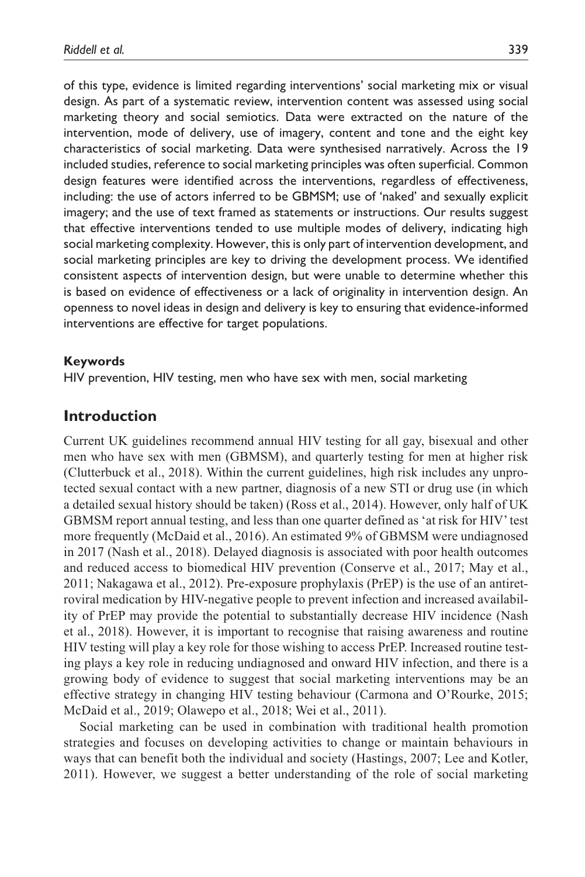of this type, evidence is limited regarding interventions' social marketing mix or visual design. As part of a systematic review, intervention content was assessed using social marketing theory and social semiotics. Data were extracted on the nature of the intervention, mode of delivery, use of imagery, content and tone and the eight key characteristics of social marketing. Data were synthesised narratively. Across the 19 included studies, reference to social marketing principles was often superficial. Common design features were identified across the interventions, regardless of effectiveness, including: the use of actors inferred to be GBMSM; use of 'naked' and sexually explicit imagery; and the use of text framed as statements or instructions. Our results suggest that effective interventions tended to use multiple modes of delivery, indicating high social marketing complexity. However, this is only part of intervention development, and social marketing principles are key to driving the development process. We identified consistent aspects of intervention design, but were unable to determine whether this is based on evidence of effectiveness or a lack of originality in intervention design. An openness to novel ideas in design and delivery is key to ensuring that evidence-informed interventions are effective for target populations.

#### **Keywords**

HIV prevention, HIV testing, men who have sex with men, social marketing

## **Introduction**

Current UK guidelines recommend annual HIV testing for all gay, bisexual and other men who have sex with men (GBMSM), and quarterly testing for men at higher risk (Clutterbuck et al., 2018). Within the current guidelines, high risk includes any unprotected sexual contact with a new partner, diagnosis of a new STI or drug use (in which a detailed sexual history should be taken) (Ross et al., 2014). However, only half of UK GBMSM report annual testing, and less than one quarter defined as 'at risk for HIV' test more frequently (McDaid et al., 2016). An estimated 9% of GBMSM were undiagnosed in 2017 (Nash et al., 2018). Delayed diagnosis is associated with poor health outcomes and reduced access to biomedical HIV prevention (Conserve et al., 2017; May et al., 2011; Nakagawa et al., 2012). Pre-exposure prophylaxis (PrEP) is the use of an antiretroviral medication by HIV-negative people to prevent infection and increased availability of PrEP may provide the potential to substantially decrease HIV incidence (Nash et al., 2018). However, it is important to recognise that raising awareness and routine HIV testing will play a key role for those wishing to access PrEP. Increased routine testing plays a key role in reducing undiagnosed and onward HIV infection, and there is a growing body of evidence to suggest that social marketing interventions may be an effective strategy in changing HIV testing behaviour (Carmona and O'Rourke, 2015; McDaid et al., 2019; Olawepo et al., 2018; Wei et al., 2011).

Social marketing can be used in combination with traditional health promotion strategies and focuses on developing activities to change or maintain behaviours in ways that can benefit both the individual and society (Hastings, 2007; Lee and Kotler, 2011). However, we suggest a better understanding of the role of social marketing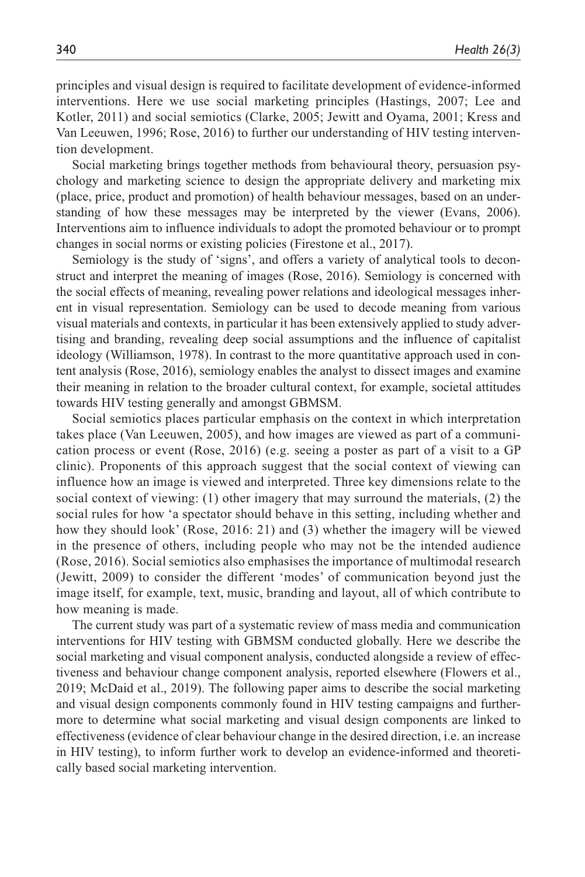principles and visual design is required to facilitate development of evidence-informed interventions. Here we use social marketing principles (Hastings, 2007; Lee and Kotler, 2011) and social semiotics (Clarke, 2005; Jewitt and Oyama, 2001; Kress and Van Leeuwen, 1996; Rose, 2016) to further our understanding of HIV testing intervention development.

Social marketing brings together methods from behavioural theory, persuasion psychology and marketing science to design the appropriate delivery and marketing mix (place, price, product and promotion) of health behaviour messages, based on an understanding of how these messages may be interpreted by the viewer (Evans, 2006). Interventions aim to influence individuals to adopt the promoted behaviour or to prompt changes in social norms or existing policies (Firestone et al., 2017).

Semiology is the study of 'signs', and offers a variety of analytical tools to deconstruct and interpret the meaning of images (Rose, 2016). Semiology is concerned with the social effects of meaning, revealing power relations and ideological messages inherent in visual representation. Semiology can be used to decode meaning from various visual materials and contexts, in particular it has been extensively applied to study advertising and branding, revealing deep social assumptions and the influence of capitalist ideology (Williamson, 1978). In contrast to the more quantitative approach used in content analysis (Rose, 2016), semiology enables the analyst to dissect images and examine their meaning in relation to the broader cultural context, for example, societal attitudes towards HIV testing generally and amongst GBMSM.

Social semiotics places particular emphasis on the context in which interpretation takes place (Van Leeuwen, 2005), and how images are viewed as part of a communication process or event (Rose, 2016) (e.g. seeing a poster as part of a visit to a GP clinic). Proponents of this approach suggest that the social context of viewing can influence how an image is viewed and interpreted. Three key dimensions relate to the social context of viewing: (1) other imagery that may surround the materials, (2) the social rules for how 'a spectator should behave in this setting, including whether and how they should look' (Rose, 2016: 21) and (3) whether the imagery will be viewed in the presence of others, including people who may not be the intended audience (Rose, 2016). Social semiotics also emphasises the importance of multimodal research (Jewitt, 2009) to consider the different 'modes' of communication beyond just the image itself, for example, text, music, branding and layout, all of which contribute to how meaning is made.

The current study was part of a systematic review of mass media and communication interventions for HIV testing with GBMSM conducted globally. Here we describe the social marketing and visual component analysis, conducted alongside a review of effectiveness and behaviour change component analysis, reported elsewhere (Flowers et al., 2019; McDaid et al., 2019). The following paper aims to describe the social marketing and visual design components commonly found in HIV testing campaigns and furthermore to determine what social marketing and visual design components are linked to effectiveness (evidence of clear behaviour change in the desired direction, i.e. an increase in HIV testing), to inform further work to develop an evidence-informed and theoretically based social marketing intervention.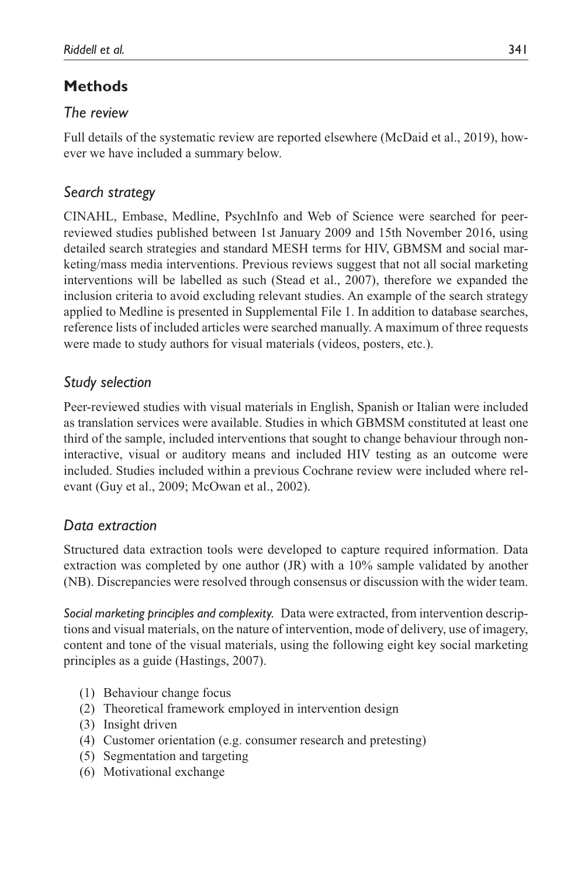# **Methods**

# *The review*

Full details of the systematic review are reported elsewhere (McDaid et al., 2019), however we have included a summary below.

# *Search strategy*

CINAHL, Embase, Medline, PsychInfo and Web of Science were searched for peerreviewed studies published between 1st January 2009 and 15th November 2016, using detailed search strategies and standard MESH terms for HIV, GBMSM and social marketing/mass media interventions. Previous reviews suggest that not all social marketing interventions will be labelled as such (Stead et al., 2007), therefore we expanded the inclusion criteria to avoid excluding relevant studies. An example of the search strategy applied to Medline is presented in Supplemental File 1. In addition to database searches, reference lists of included articles were searched manually. A maximum of three requests were made to study authors for visual materials (videos, posters, etc.).

# *Study selection*

Peer-reviewed studies with visual materials in English, Spanish or Italian were included as translation services were available. Studies in which GBMSM constituted at least one third of the sample, included interventions that sought to change behaviour through noninteractive, visual or auditory means and included HIV testing as an outcome were included. Studies included within a previous Cochrane review were included where relevant (Guy et al., 2009; McOwan et al., 2002).

# *Data extraction*

Structured data extraction tools were developed to capture required information. Data extraction was completed by one author (JR) with a 10% sample validated by another (NB). Discrepancies were resolved through consensus or discussion with the wider team.

*Social marketing principles and complexity.* Data were extracted, from intervention descriptions and visual materials, on the nature of intervention, mode of delivery, use of imagery, content and tone of the visual materials, using the following eight key social marketing principles as a guide (Hastings, 2007).

- (1) Behaviour change focus
- (2) Theoretical framework employed in intervention design
- (3) Insight driven
- (4) Customer orientation (e.g. consumer research and pretesting)
- (5) Segmentation and targeting
- (6) Motivational exchange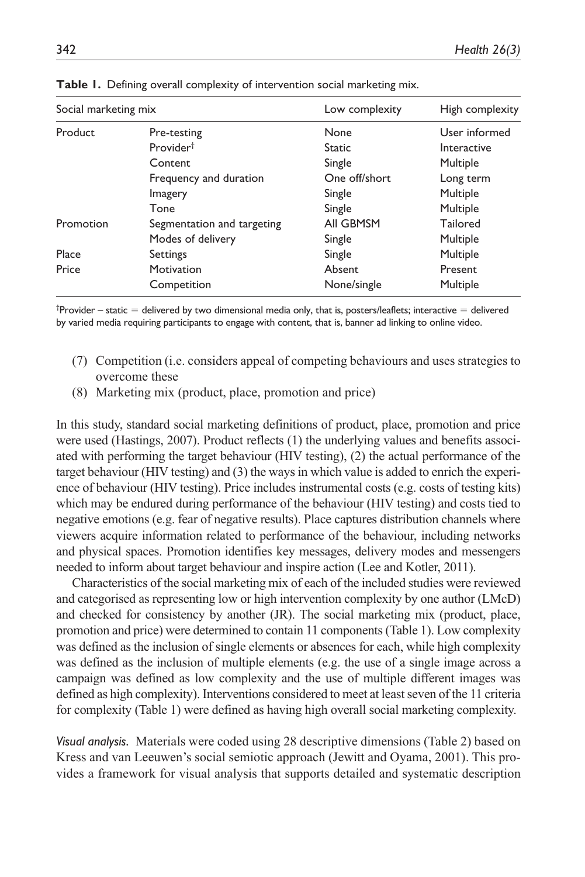| Social marketing mix |                            | Low complexity | High complexity |
|----------------------|----------------------------|----------------|-----------------|
| Product              | Pre-testing                | None           | User informed   |
|                      | Provider <sup>†</sup>      | <b>Static</b>  | Interactive     |
|                      | Content                    | Single         | Multiple        |
|                      | Frequency and duration     | One off/short  | Long term       |
|                      | Imagery                    | Single         | Multiple        |
|                      | Tone                       | Single         | Multiple        |
| Promotion            | Segmentation and targeting | All GBMSM      | Tailored        |
|                      | Modes of delivery          | Single         | Multiple        |
| Place                | Settings                   | Single         | Multiple        |
| Price                | Motivation                 | Absent         | Present         |
|                      | Competition                | None/single    | Multiple        |

**Table 1.** Defining overall complexity of intervention social marketing mix.

 $^{\dagger}$ Provider – static  $=$  delivered by two dimensional media only, that is, posters/leaflets; interactive  $=$  delivered by varied media requiring participants to engage with content, that is, banner ad linking to online video.

- (7) Competition (i.e. considers appeal of competing behaviours and uses strategies to overcome these
- (8) Marketing mix (product, place, promotion and price)

In this study, standard social marketing definitions of product, place, promotion and price were used (Hastings, 2007). Product reflects (1) the underlying values and benefits associated with performing the target behaviour (HIV testing), (2) the actual performance of the target behaviour (HIV testing) and (3) the ways in which value is added to enrich the experience of behaviour (HIV testing). Price includes instrumental costs (e.g. costs of testing kits) which may be endured during performance of the behaviour (HIV testing) and costs tied to negative emotions (e.g. fear of negative results). Place captures distribution channels where viewers acquire information related to performance of the behaviour, including networks and physical spaces. Promotion identifies key messages, delivery modes and messengers needed to inform about target behaviour and inspire action (Lee and Kotler, 2011).

Characteristics of the social marketing mix of each of the included studies were reviewed and categorised as representing low or high intervention complexity by one author (LMcD) and checked for consistency by another (JR). The social marketing mix (product, place, promotion and price) were determined to contain 11 components (Table 1). Low complexity was defined as the inclusion of single elements or absences for each, while high complexity was defined as the inclusion of multiple elements (e.g. the use of a single image across a campaign was defined as low complexity and the use of multiple different images was defined as high complexity). Interventions considered to meet at least seven of the 11 criteria for complexity (Table 1) were defined as having high overall social marketing complexity.

*Visual analysis.* Materials were coded using 28 descriptive dimensions (Table 2) based on Kress and van Leeuwen's social semiotic approach (Jewitt and Oyama, 2001). This provides a framework for visual analysis that supports detailed and systematic description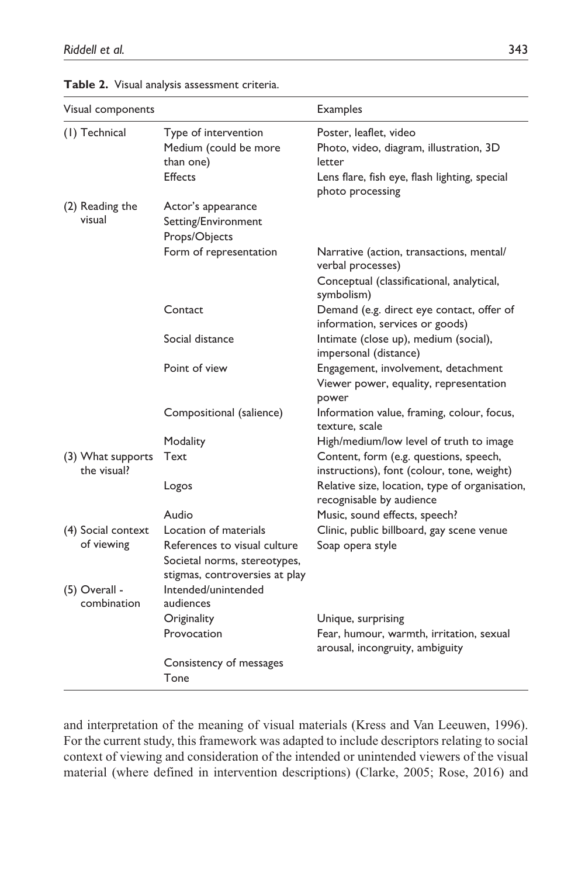| Visual components                |                                                                                                | <b>Examples</b>                                                                                                                                  |
|----------------------------------|------------------------------------------------------------------------------------------------|--------------------------------------------------------------------------------------------------------------------------------------------------|
| (1) Technical                    | Type of intervention<br>Medium (could be more<br>than one)<br>Effects                          | Poster, leaflet, video<br>Photo, video, diagram, illustration, 3D<br>letter<br>Lens flare, fish eye, flash lighting, special<br>photo processing |
| (2) Reading the<br>visual        | Actor's appearance<br>Setting/Environment<br>Props/Objects                                     |                                                                                                                                                  |
|                                  | Form of representation                                                                         | Narrative (action, transactions, mental/<br>verbal processes)<br>Conceptual (classificational, analytical,<br>symbolism)                         |
|                                  | Contact                                                                                        | Demand (e.g. direct eye contact, offer of<br>information, services or goods)                                                                     |
|                                  | Social distance                                                                                | Intimate (close up), medium (social),<br>impersonal (distance)                                                                                   |
|                                  | Point of view                                                                                  | Engagement, involvement, detachment<br>Viewer power, equality, representation<br>power                                                           |
|                                  | Compositional (salience)                                                                       | Information value, framing, colour, focus,<br>texture, scale                                                                                     |
|                                  | Modality                                                                                       | High/medium/low level of truth to image                                                                                                          |
| (3) What supports<br>the visual? | Text                                                                                           | Content, form (e.g. questions, speech,<br>instructions), font (colour, tone, weight)                                                             |
|                                  | Logos                                                                                          | Relative size, location, type of organisation,<br>recognisable by audience                                                                       |
|                                  | Audio                                                                                          | Music, sound effects, speech?                                                                                                                    |
| (4) Social context               | Location of materials                                                                          | Clinic, public billboard, gay scene venue                                                                                                        |
| of viewing                       | References to visual culture<br>Societal norms, stereotypes,<br>stigmas, controversies at play | Soap opera style                                                                                                                                 |
| (5) Overall -<br>combination     | Intended/unintended<br>audiences                                                               |                                                                                                                                                  |
|                                  | Originality                                                                                    | Unique, surprising                                                                                                                               |
|                                  | Provocation                                                                                    | Fear, humour, warmth, irritation, sexual<br>arousal, incongruity, ambiguity                                                                      |
|                                  | Consistency of messages                                                                        |                                                                                                                                                  |
|                                  | Tone                                                                                           |                                                                                                                                                  |

**Table 2.** Visual analysis assessment criteria.

and interpretation of the meaning of visual materials (Kress and Van Leeuwen, 1996). For the current study, this framework was adapted to include descriptors relating to social context of viewing and consideration of the intended or unintended viewers of the visual material (where defined in intervention descriptions) (Clarke, 2005; Rose, 2016) and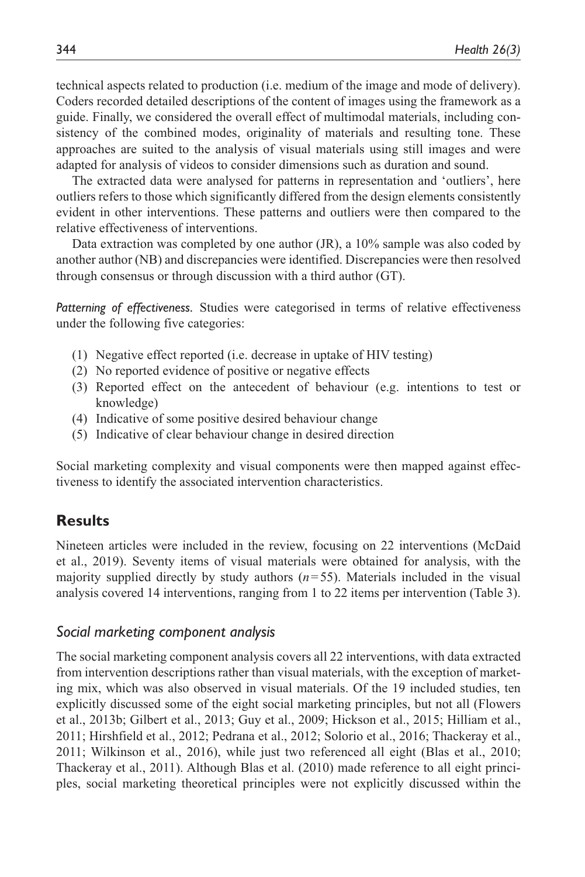technical aspects related to production (i.e. medium of the image and mode of delivery). Coders recorded detailed descriptions of the content of images using the framework as a guide. Finally, we considered the overall effect of multimodal materials, including consistency of the combined modes, originality of materials and resulting tone. These approaches are suited to the analysis of visual materials using still images and were adapted for analysis of videos to consider dimensions such as duration and sound.

The extracted data were analysed for patterns in representation and 'outliers', here outliers refers to those which significantly differed from the design elements consistently evident in other interventions. These patterns and outliers were then compared to the relative effectiveness of interventions.

Data extraction was completed by one author (JR), a 10% sample was also coded by another author (NB) and discrepancies were identified. Discrepancies were then resolved through consensus or through discussion with a third author (GT).

*Patterning of effectiveness.* Studies were categorised in terms of relative effectiveness under the following five categories:

- (1) Negative effect reported (i.e. decrease in uptake of HIV testing)
- (2) No reported evidence of positive or negative effects
- (3) Reported effect on the antecedent of behaviour (e.g. intentions to test or knowledge)
- (4) Indicative of some positive desired behaviour change
- (5) Indicative of clear behaviour change in desired direction

Social marketing complexity and visual components were then mapped against effectiveness to identify the associated intervention characteristics.

# **Results**

Nineteen articles were included in the review, focusing on 22 interventions (McDaid et al., 2019). Seventy items of visual materials were obtained for analysis, with the majority supplied directly by study authors (*n*=55). Materials included in the visual analysis covered 14 interventions, ranging from 1 to 22 items per intervention (Table 3).

## *Social marketing component analysis*

The social marketing component analysis covers all 22 interventions, with data extracted from intervention descriptions rather than visual materials, with the exception of marketing mix, which was also observed in visual materials. Of the 19 included studies, ten explicitly discussed some of the eight social marketing principles, but not all (Flowers et al., 2013b; Gilbert et al., 2013; Guy et al., 2009; Hickson et al., 2015; Hilliam et al., 2011; Hirshfield et al., 2012; Pedrana et al., 2012; Solorio et al., 2016; Thackeray et al., 2011; Wilkinson et al., 2016), while just two referenced all eight (Blas et al., 2010; Thackeray et al., 2011). Although Blas et al. (2010) made reference to all eight principles, social marketing theoretical principles were not explicitly discussed within the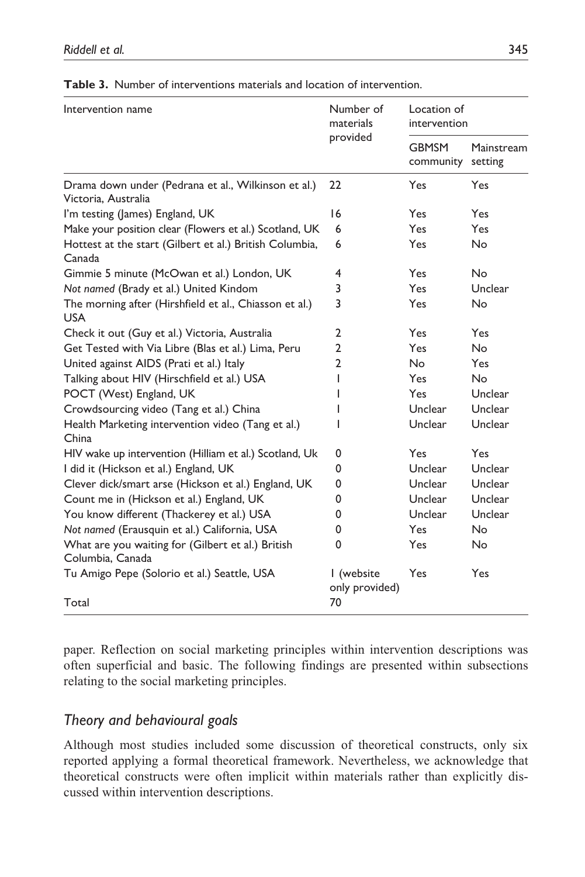| Intervention name                                                          | Number of<br>materials       | Location of<br>intervention |                       |
|----------------------------------------------------------------------------|------------------------------|-----------------------------|-----------------------|
|                                                                            | provided                     | <b>GBMSM</b><br>community   | Mainstream<br>setting |
| Drama down under (Pedrana et al., Wilkinson et al.)<br>Victoria, Australia | 22                           | Yes                         | Yes                   |
| I'm testing (James) England, UK                                            | 16                           | Yes                         | Yes                   |
| Make your position clear (Flowers et al.) Scotland, UK                     | 6                            | Yes.                        | Yes                   |
| Hottest at the start (Gilbert et al.) British Columbia,<br>Canada          | 6                            | Yes.                        | No.                   |
| Gimmie 5 minute (McOwan et al.) London, UK                                 | 4                            | Yes                         | <b>No</b>             |
| Not named (Brady et al.) United Kindom                                     | 3                            | <b>Yes</b>                  | Unclear               |
| The morning after (Hirshfield et al., Chiasson et al.)<br><b>USA</b>       | 3                            | Yes                         | <b>No</b>             |
| Check it out (Guy et al.) Victoria, Australia                              | $\overline{2}$               | Yes                         | Yes                   |
| Get Tested with Via Libre (Blas et al.) Lima, Peru                         | $\overline{2}$               | Yes                         | No.                   |
| United against AIDS (Prati et al.) Italy                                   | $\overline{2}$               | No                          | Yes.                  |
| Talking about HIV (Hirschfield et al.) USA                                 | I                            | Yes                         | N <sub>o</sub>        |
| POCT (West) England, UK                                                    |                              | Yes.                        | Unclear               |
| Crowdsourcing video (Tang et al.) China                                    |                              | Unclear                     | Unclear               |
| Health Marketing intervention video (Tang et al.)<br>China                 | ı                            | Unclear                     | Unclear               |
| HIV wake up intervention (Hilliam et al.) Scotland, Uk                     | 0                            | Yes                         | Yes                   |
| I did it (Hickson et al.) England, UK                                      | 0                            | Unclear                     | Unclear               |
| Clever dick/smart arse (Hickson et al.) England, UK                        | 0                            | Unclear                     | Unclear               |
| Count me in (Hickson et al.) England, UK                                   | 0                            | Unclear                     | Unclear               |
| You know different (Thackerey et al.) USA                                  | 0                            | Unclear                     | Unclear               |
| Not named (Erausquin et al.) California, USA                               | 0                            | Yes                         | No                    |
| What are you waiting for (Gilbert et al.) British<br>Columbia, Canada      | 0                            | Yes                         | <b>No</b>             |
| Tu Amigo Pepe (Solorio et al.) Seattle, USA                                | I (website<br>only provided) | Yes                         | Yes                   |
| Total                                                                      | 70                           |                             |                       |

**Table 3.** Number of interventions materials and location of intervention.

paper. Reflection on social marketing principles within intervention descriptions was often superficial and basic. The following findings are presented within subsections relating to the social marketing principles.

# *Theory and behavioural goals*

Although most studies included some discussion of theoretical constructs, only six reported applying a formal theoretical framework. Nevertheless, we acknowledge that theoretical constructs were often implicit within materials rather than explicitly discussed within intervention descriptions.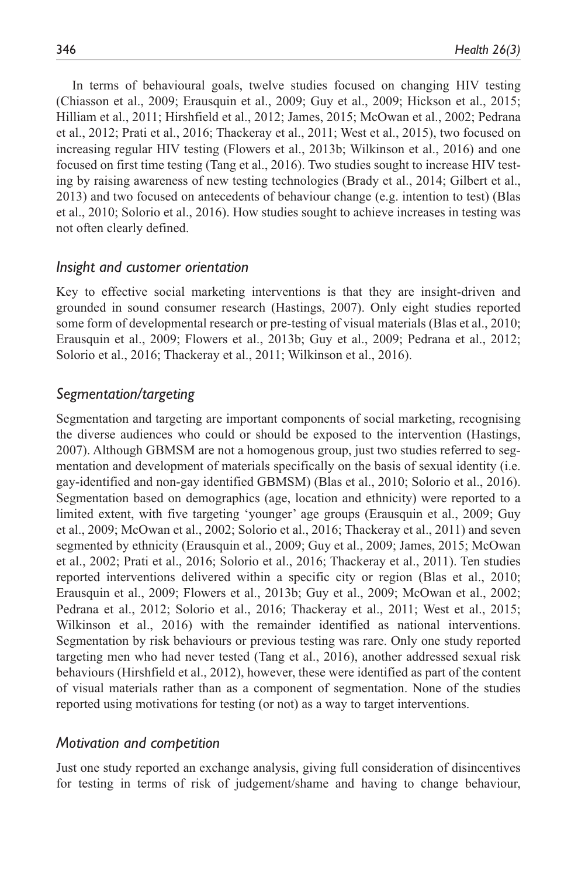In terms of behavioural goals, twelve studies focused on changing HIV testing (Chiasson et al., 2009; Erausquin et al., 2009; Guy et al., 2009; Hickson et al., 2015; Hilliam et al., 2011; Hirshfield et al., 2012; James, 2015; McOwan et al., 2002; Pedrana et al., 2012; Prati et al., 2016; Thackeray et al., 2011; West et al., 2015), two focused on increasing regular HIV testing (Flowers et al., 2013b; Wilkinson et al., 2016) and one focused on first time testing (Tang et al., 2016). Two studies sought to increase HIV testing by raising awareness of new testing technologies (Brady et al., 2014; Gilbert et al., 2013) and two focused on antecedents of behaviour change (e.g. intention to test) (Blas et al., 2010; Solorio et al., 2016). How studies sought to achieve increases in testing was not often clearly defined.

## *Insight and customer orientation*

Key to effective social marketing interventions is that they are insight-driven and grounded in sound consumer research (Hastings, 2007). Only eight studies reported some form of developmental research or pre-testing of visual materials (Blas et al., 2010; Erausquin et al., 2009; Flowers et al., 2013b; Guy et al., 2009; Pedrana et al., 2012; Solorio et al., 2016; Thackeray et al., 2011; Wilkinson et al., 2016).

# *Segmentation/targeting*

Segmentation and targeting are important components of social marketing, recognising the diverse audiences who could or should be exposed to the intervention (Hastings, 2007). Although GBMSM are not a homogenous group, just two studies referred to segmentation and development of materials specifically on the basis of sexual identity (i.e. gay-identified and non-gay identified GBMSM) (Blas et al., 2010; Solorio et al., 2016). Segmentation based on demographics (age, location and ethnicity) were reported to a limited extent, with five targeting 'younger' age groups (Erausquin et al., 2009; Guy et al., 2009; McOwan et al., 2002; Solorio et al., 2016; Thackeray et al., 2011) and seven segmented by ethnicity (Erausquin et al., 2009; Guy et al., 2009; James, 2015; McOwan et al., 2002; Prati et al., 2016; Solorio et al., 2016; Thackeray et al., 2011). Ten studies reported interventions delivered within a specific city or region (Blas et al., 2010; Erausquin et al., 2009; Flowers et al., 2013b; Guy et al., 2009; McOwan et al., 2002; Pedrana et al., 2012; Solorio et al., 2016; Thackeray et al., 2011; West et al., 2015; Wilkinson et al., 2016) with the remainder identified as national interventions. Segmentation by risk behaviours or previous testing was rare. Only one study reported targeting men who had never tested (Tang et al., 2016), another addressed sexual risk behaviours (Hirshfield et al., 2012), however, these were identified as part of the content of visual materials rather than as a component of segmentation. None of the studies reported using motivations for testing (or not) as a way to target interventions.

## *Motivation and competition*

Just one study reported an exchange analysis, giving full consideration of disincentives for testing in terms of risk of judgement/shame and having to change behaviour,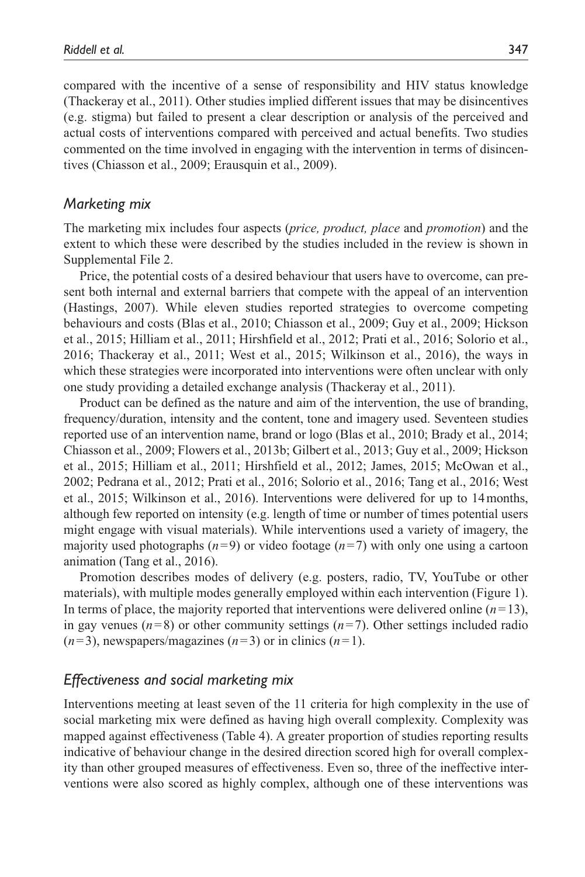compared with the incentive of a sense of responsibility and HIV status knowledge (Thackeray et al., 2011). Other studies implied different issues that may be disincentives (e.g. stigma) but failed to present a clear description or analysis of the perceived and actual costs of interventions compared with perceived and actual benefits. Two studies commented on the time involved in engaging with the intervention in terms of disincentives (Chiasson et al., 2009; Erausquin et al., 2009).

## *Marketing mix*

The marketing mix includes four aspects (*price, product, place* and *promotion*) and the extent to which these were described by the studies included in the review is shown in Supplemental File 2.

Price, the potential costs of a desired behaviour that users have to overcome, can present both internal and external barriers that compete with the appeal of an intervention (Hastings, 2007). While eleven studies reported strategies to overcome competing behaviours and costs (Blas et al., 2010; Chiasson et al., 2009; Guy et al., 2009; Hickson et al., 2015; Hilliam et al., 2011; Hirshfield et al., 2012; Prati et al., 2016; Solorio et al., 2016; Thackeray et al., 2011; West et al., 2015; Wilkinson et al., 2016), the ways in which these strategies were incorporated into interventions were often unclear with only one study providing a detailed exchange analysis (Thackeray et al., 2011).

Product can be defined as the nature and aim of the intervention, the use of branding, frequency/duration, intensity and the content, tone and imagery used. Seventeen studies reported use of an intervention name, brand or logo (Blas et al., 2010; Brady et al., 2014; Chiasson et al., 2009; Flowers et al., 2013b; Gilbert et al., 2013; Guy et al., 2009; Hickson et al., 2015; Hilliam et al., 2011; Hirshfield et al., 2012; James, 2015; McOwan et al., 2002; Pedrana et al., 2012; Prati et al., 2016; Solorio et al., 2016; Tang et al., 2016; West et al., 2015; Wilkinson et al., 2016). Interventions were delivered for up to 14months, although few reported on intensity (e.g. length of time or number of times potential users might engage with visual materials). While interventions used a variety of imagery, the majority used photographs  $(n=9)$  or video footage  $(n=7)$  with only one using a cartoon animation (Tang et al., 2016).

Promotion describes modes of delivery (e.g. posters, radio, TV, YouTube or other materials), with multiple modes generally employed within each intervention (Figure 1). In terms of place, the majority reported that interventions were delivered online  $(n=13)$ , in gay venues  $(n=8)$  or other community settings  $(n=7)$ . Other settings included radio  $(n=3)$ , newspapers/magazines  $(n=3)$  or in clinics  $(n=1)$ .

## *Effectiveness and social marketing mix*

Interventions meeting at least seven of the 11 criteria for high complexity in the use of social marketing mix were defined as having high overall complexity. Complexity was mapped against effectiveness (Table 4). A greater proportion of studies reporting results indicative of behaviour change in the desired direction scored high for overall complexity than other grouped measures of effectiveness. Even so, three of the ineffective interventions were also scored as highly complex, although one of these interventions was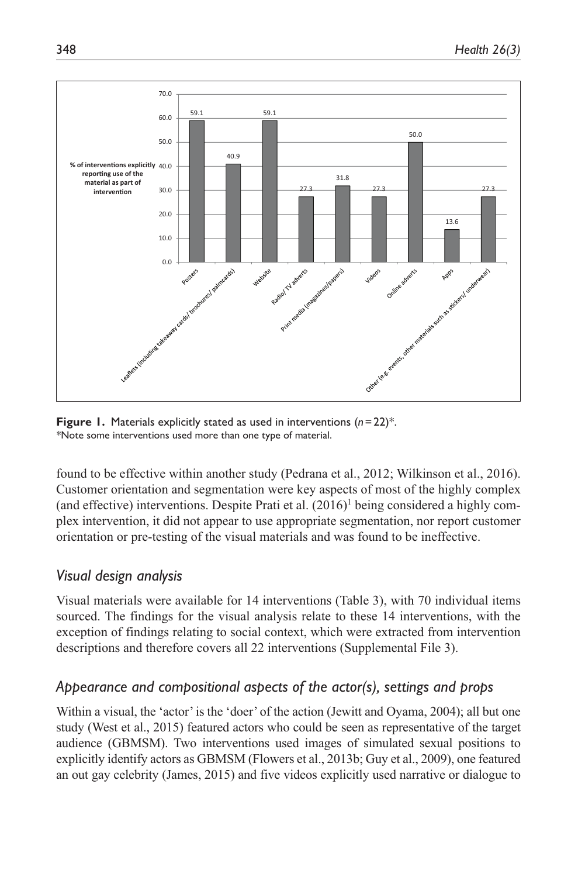

**Figure 1.** Materials explicitly stated as used in interventions (*n*=22)\*. *\**Note some interventions used more than one type of material.

found to be effective within another study (Pedrana et al., 2012; Wilkinson et al., 2016). Customer orientation and segmentation were key aspects of most of the highly complex (and effective) interventions. Despite Prati et al.  $(2016)^1$  being considered a highly complex intervention, it did not appear to use appropriate segmentation, nor report customer orientation or pre-testing of the visual materials and was found to be ineffective.

# *Visual design analysis*

Visual materials were available for 14 interventions (Table 3), with 70 individual items sourced. The findings for the visual analysis relate to these 14 interventions, with the exception of findings relating to social context, which were extracted from intervention descriptions and therefore covers all 22 interventions (Supplemental File 3).

# *Appearance and compositional aspects of the actor(s), settings and props*

Within a visual, the 'actor' is the 'doer' of the action (Jewitt and Oyama, 2004); all but one study (West et al., 2015) featured actors who could be seen as representative of the target audience (GBMSM). Two interventions used images of simulated sexual positions to explicitly identify actors as GBMSM (Flowers et al., 2013b; Guy et al., 2009), one featured an out gay celebrity (James, 2015) and five videos explicitly used narrative or dialogue to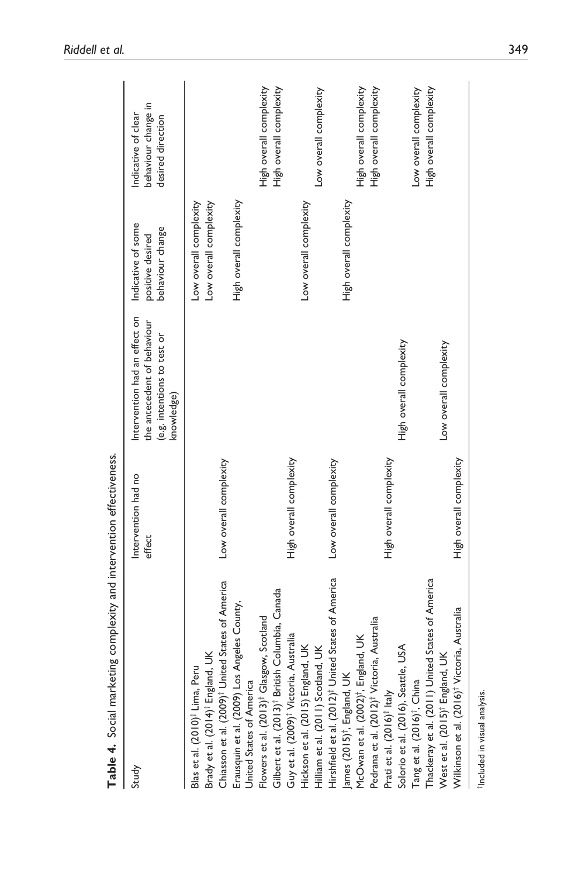| Table 4. Social marketing complexity and intervention effectiveness.                                                                                       |                               |                                                                                                           |                                                            |                                                                 |
|------------------------------------------------------------------------------------------------------------------------------------------------------------|-------------------------------|-----------------------------------------------------------------------------------------------------------|------------------------------------------------------------|-----------------------------------------------------------------|
| Study                                                                                                                                                      | Intervention had no<br>effect | Intervention had an effect on<br>the antecedent of behaviour<br>(e.g. intentions to test or<br>knowledge) | Indicative of some<br>behaviour change<br>positive desired | behaviour change in<br>Indicative of clear<br>desired direction |
| Chiasson et al. (2009) <sup>†</sup> United States of America<br>Brady et al. (2014) <sup>†</sup> England, UK<br>Blas et al. (2010) <sup>†</sup> Lima, Peru | Low overall complexity        |                                                                                                           | Low overall complexity<br>Low overall complexity           |                                                                 |
| Erausquin et al. (2009) Los Angeles County,<br>United States of America                                                                                    |                               |                                                                                                           | High overall complexity                                    |                                                                 |
| Flowers et al. (2013) <sup>†</sup> Glasgow, Scotland                                                                                                       |                               |                                                                                                           |                                                            | High overall complexity<br>High overall complexity              |
| Gilbert et al. (2013)† British Columbia, Canada<br>Guy et al. (2009)† Victoria, Australia                                                                  | High overall complexity       |                                                                                                           |                                                            |                                                                 |
| Hickson et al. (2015) England, UK                                                                                                                          |                               |                                                                                                           | Low overall complexity                                     |                                                                 |
| Hilliam et al. (2011) Scotland, UK                                                                                                                         |                               |                                                                                                           |                                                            | Low overall complexity                                          |
| Hirshfield et al. (2012) <sup>†</sup> United States of America                                                                                             | Low overall complexity        |                                                                                                           |                                                            |                                                                 |
|                                                                                                                                                            |                               |                                                                                                           | High overall complexity                                    |                                                                 |
| James (2015)†, England, UK<br>McOwan et al. (2002)†, England, UK                                                                                           |                               |                                                                                                           |                                                            | High overall complexity                                         |
| Pedrana et al. (2012) <sup>†</sup> Victoria, Australia                                                                                                     |                               |                                                                                                           |                                                            | High overall complexity                                         |
| Prati et al. (2016) <sup>†</sup> Italy                                                                                                                     | High overall complexity       |                                                                                                           |                                                            |                                                                 |
| Solorio et al. (2016), Seattle, USA                                                                                                                        |                               | High overall complexity                                                                                   |                                                            |                                                                 |
| Tang et al. (2016)†, China<br>Thackeray et al. (2011) United States of America<br>West et al. (2015)† England, UK                                          |                               |                                                                                                           |                                                            | Low overall complexity                                          |
|                                                                                                                                                            |                               |                                                                                                           |                                                            | High overall complexity                                         |
|                                                                                                                                                            |                               | Low overall complexity                                                                                    |                                                            |                                                                 |
| Wilkinson et al. (2016) <sup>†</sup> Victoria, Australia                                                                                                   | High overall complexity       |                                                                                                           |                                                            |                                                                 |
| <sup>t</sup> Included in visual analysis.                                                                                                                  |                               |                                                                                                           |                                                            |                                                                 |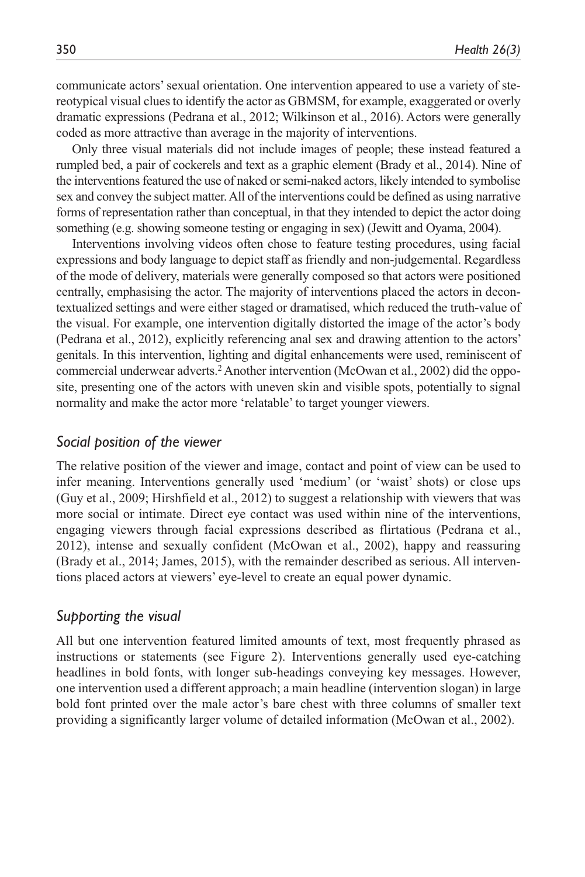communicate actors' sexual orientation. One intervention appeared to use a variety of stereotypical visual clues to identify the actor as GBMSM, for example, exaggerated or overly dramatic expressions (Pedrana et al., 2012; Wilkinson et al., 2016). Actors were generally coded as more attractive than average in the majority of interventions.

Only three visual materials did not include images of people; these instead featured a rumpled bed, a pair of cockerels and text as a graphic element (Brady et al., 2014). Nine of the interventions featured the use of naked or semi-naked actors, likely intended to symbolise sex and convey the subject matter. All of the interventions could be defined as using narrative forms of representation rather than conceptual, in that they intended to depict the actor doing something (e.g. showing someone testing or engaging in sex) (Jewitt and Oyama, 2004).

Interventions involving videos often chose to feature testing procedures, using facial expressions and body language to depict staff as friendly and non-judgemental. Regardless of the mode of delivery, materials were generally composed so that actors were positioned centrally, emphasising the actor. The majority of interventions placed the actors in decontextualized settings and were either staged or dramatised, which reduced the truth-value of the visual. For example, one intervention digitally distorted the image of the actor's body (Pedrana et al., 2012), explicitly referencing anal sex and drawing attention to the actors' genitals. In this intervention, lighting and digital enhancements were used, reminiscent of commercial underwear adverts.<sup>2</sup> Another intervention (McOwan et al., 2002) did the opposite, presenting one of the actors with uneven skin and visible spots, potentially to signal normality and make the actor more 'relatable' to target younger viewers.

### *Social position of the viewer*

The relative position of the viewer and image, contact and point of view can be used to infer meaning. Interventions generally used 'medium' (or 'waist' shots) or close ups (Guy et al., 2009; Hirshfield et al., 2012) to suggest a relationship with viewers that was more social or intimate. Direct eye contact was used within nine of the interventions, engaging viewers through facial expressions described as flirtatious (Pedrana et al., 2012), intense and sexually confident (McOwan et al., 2002), happy and reassuring (Brady et al., 2014; James, 2015), with the remainder described as serious. All interventions placed actors at viewers' eye-level to create an equal power dynamic.

## *Supporting the visual*

All but one intervention featured limited amounts of text, most frequently phrased as instructions or statements (see Figure 2). Interventions generally used eye-catching headlines in bold fonts, with longer sub-headings conveying key messages. However, one intervention used a different approach; a main headline (intervention slogan) in large bold font printed over the male actor's bare chest with three columns of smaller text providing a significantly larger volume of detailed information (McOwan et al., 2002).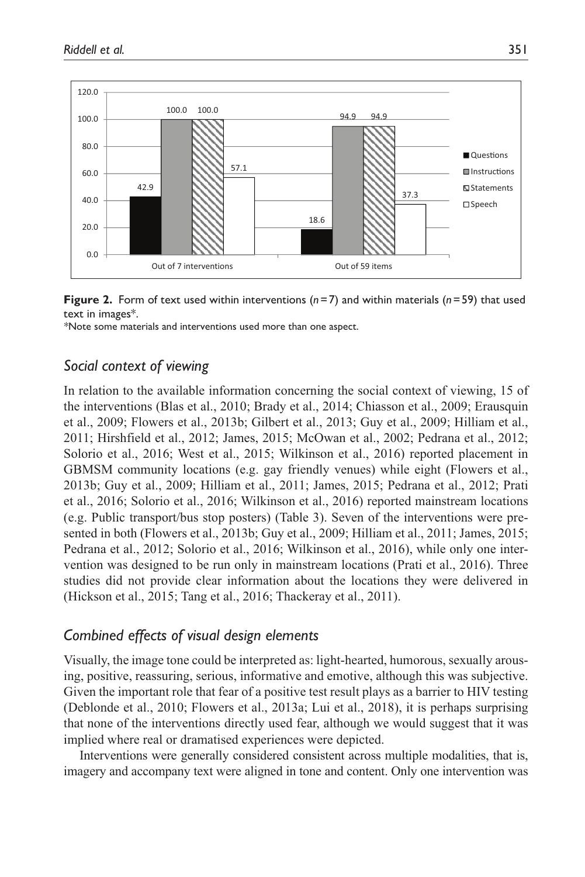

**Figure 2.** Form of text used within interventions (*n*=7) and within materials (*n*=59) that used text in images\*.

*\**Note some materials and interventions used more than one aspect.

# *Social context of viewing*

In relation to the available information concerning the social context of viewing, 15 of the interventions (Blas et al., 2010; Brady et al., 2014; Chiasson et al., 2009; Erausquin et al., 2009; Flowers et al., 2013b; Gilbert et al., 2013; Guy et al., 2009; Hilliam et al., 2011; Hirshfield et al., 2012; James, 2015; McOwan et al., 2002; Pedrana et al., 2012; Solorio et al., 2016; West et al., 2015; Wilkinson et al., 2016) reported placement in GBMSM community locations (e.g. gay friendly venues) while eight (Flowers et al., 2013b; Guy et al., 2009; Hilliam et al., 2011; James, 2015; Pedrana et al., 2012; Prati et al., 2016; Solorio et al., 2016; Wilkinson et al., 2016) reported mainstream locations (e.g. Public transport/bus stop posters) (Table 3). Seven of the interventions were presented in both (Flowers et al., 2013b; Guy et al., 2009; Hilliam et al., 2011; James, 2015; Pedrana et al., 2012; Solorio et al., 2016; Wilkinson et al., 2016), while only one intervention was designed to be run only in mainstream locations (Prati et al., 2016). Three studies did not provide clear information about the locations they were delivered in (Hickson et al., 2015; Tang et al., 2016; Thackeray et al., 2011).

# *Combined effects of visual design elements*

Visually, the image tone could be interpreted as: light-hearted, humorous, sexually arousing, positive, reassuring, serious, informative and emotive, although this was subjective. Given the important role that fear of a positive test result plays as a barrier to HIV testing (Deblonde et al., 2010; Flowers et al., 2013a; Lui et al., 2018), it is perhaps surprising that none of the interventions directly used fear, although we would suggest that it was implied where real or dramatised experiences were depicted.

Interventions were generally considered consistent across multiple modalities, that is, imagery and accompany text were aligned in tone and content. Only one intervention was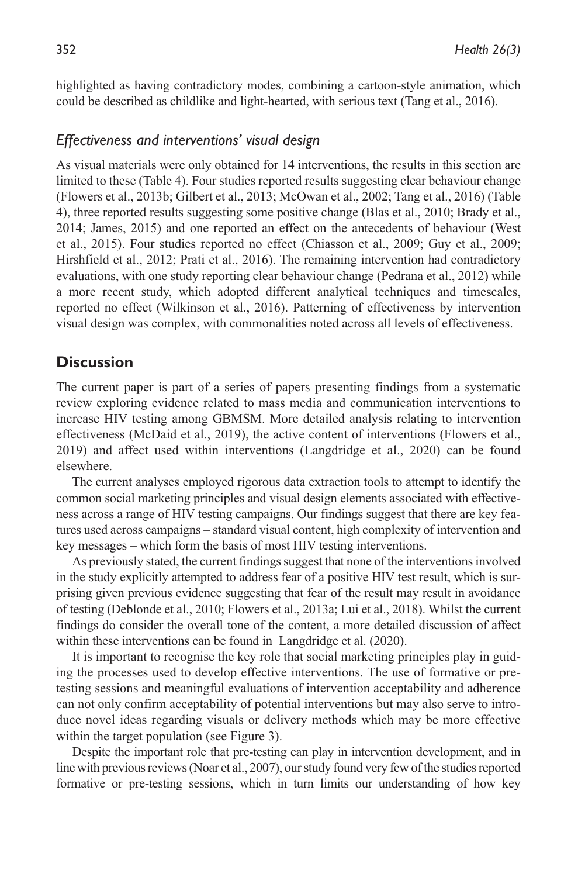highlighted as having contradictory modes, combining a cartoon-style animation, which could be described as childlike and light-hearted, with serious text (Tang et al., 2016).

### *Effectiveness and interventions' visual design*

As visual materials were only obtained for 14 interventions, the results in this section are limited to these (Table 4). Four studies reported results suggesting clear behaviour change (Flowers et al., 2013b; Gilbert et al., 2013; McOwan et al., 2002; Tang et al., 2016) (Table 4), three reported results suggesting some positive change (Blas et al., 2010; Brady et al., 2014; James, 2015) and one reported an effect on the antecedents of behaviour (West et al., 2015). Four studies reported no effect (Chiasson et al., 2009; Guy et al., 2009; Hirshfield et al., 2012; Prati et al., 2016). The remaining intervention had contradictory evaluations, with one study reporting clear behaviour change (Pedrana et al., 2012) while a more recent study, which adopted different analytical techniques and timescales, reported no effect (Wilkinson et al., 2016). Patterning of effectiveness by intervention visual design was complex, with commonalities noted across all levels of effectiveness.

# **Discussion**

The current paper is part of a series of papers presenting findings from a systematic review exploring evidence related to mass media and communication interventions to increase HIV testing among GBMSM. More detailed analysis relating to intervention effectiveness (McDaid et al., 2019), the active content of interventions (Flowers et al., 2019) and affect used within interventions (Langdridge et al., 2020) can be found elsewhere.

The current analyses employed rigorous data extraction tools to attempt to identify the common social marketing principles and visual design elements associated with effectiveness across a range of HIV testing campaigns. Our findings suggest that there are key features used across campaigns – standard visual content, high complexity of intervention and key messages – which form the basis of most HIV testing interventions.

As previously stated, the current findings suggest that none of the interventions involved in the study explicitly attempted to address fear of a positive HIV test result, which is surprising given previous evidence suggesting that fear of the result may result in avoidance of testing (Deblonde et al., 2010; Flowers et al., 2013a; Lui et al., 2018). Whilst the current findings do consider the overall tone of the content, a more detailed discussion of affect within these interventions can be found in Langdridge et al. (2020).

It is important to recognise the key role that social marketing principles play in guiding the processes used to develop effective interventions. The use of formative or pretesting sessions and meaningful evaluations of intervention acceptability and adherence can not only confirm acceptability of potential interventions but may also serve to introduce novel ideas regarding visuals or delivery methods which may be more effective within the target population (see Figure 3).

Despite the important role that pre-testing can play in intervention development, and in line with previous reviews (Noar et al., 2007), our study found very few of the studies reported formative or pre-testing sessions, which in turn limits our understanding of how key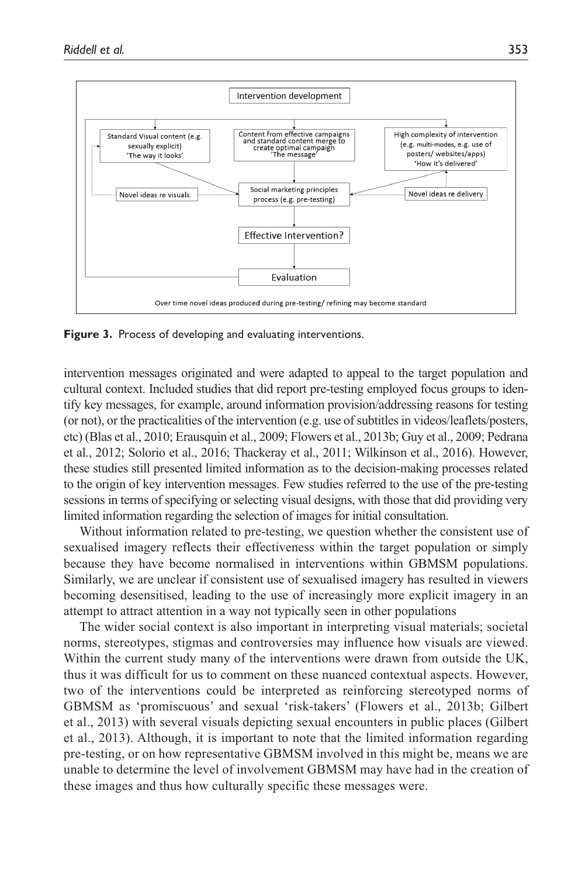

**Figure 3.** Process of developing and evaluating interventions.

intervention messages originated and were adapted to appeal to the target population and cultural context. Included studies that did report pre-testing employed focus groups to identify key messages, for example, around information provision/addressing reasons for testing (or not), or the practicalities of the intervention (e.g. use of subtitles in videos/leaflets/posters, etc) (Blas et al., 2010; Erausquin et al., 2009; Flowers et al., 2013b; Guy et al., 2009; Pedrana et al., 2012; Solorio et al., 2016; Thackeray et al., 2011; Wilkinson et al., 2016). However, these studies still presented limited information as to the decision-making processes related to the origin of key intervention messages. Few studies referred to the use of the pre-testing sessions in terms of specifying or selecting visual designs, with those that did providing very limited information regarding the selection of images for initial consultation.

Without information related to pre-testing, we question whether the consistent use of sexualised imagery reflects their effectiveness within the target population or simply because they have become normalised in interventions within GBMSM populations. Similarly, we are unclear if consistent use of sexualised imagery has resulted in viewers becoming desensitised, leading to the use of increasingly more explicit imagery in an attempt to attract attention in a way not typically seen in other populations

The wider social context is also important in interpreting visual materials; societal norms, stereotypes, stigmas and controversies may influence how visuals are viewed. Within the current study many of the interventions were drawn from outside the UK, thus it was difficult for us to comment on these nuanced contextual aspects. However, two of the interventions could be interpreted as reinforcing stereotyped norms of GBMSM as 'promiscuous' and sexual 'risk-takers' (Flowers et al., 2013b; Gilbert et al., 2013) with several visuals depicting sexual encounters in public places (Gilbert et al., 2013). Although, it is important to note that the limited information regarding pre-testing, or on how representative GBMSM involved in this might be, means we are unable to determine the level of involvement GBMSM may have had in the creation of these images and thus how culturally specific these messages were.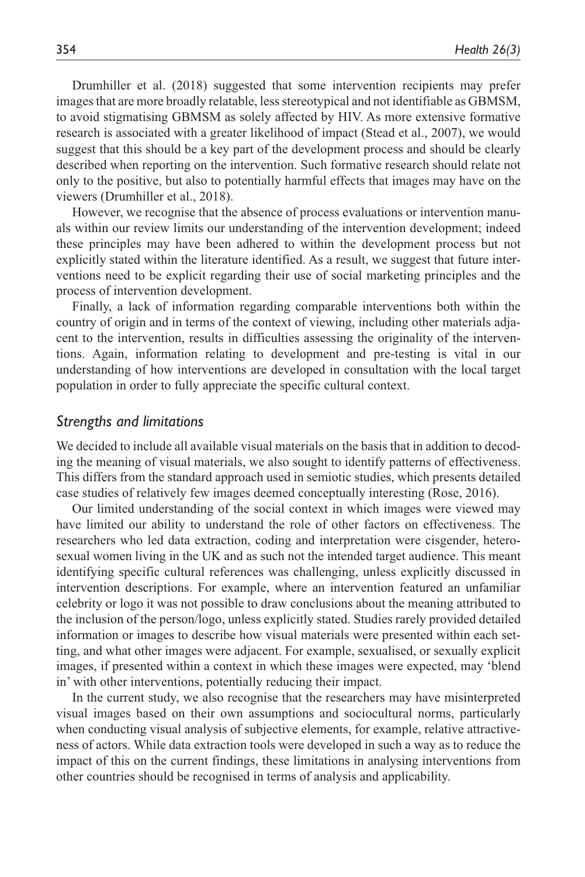Drumhiller et al. (2018) suggested that some intervention recipients may prefer images that are more broadly relatable, less stereotypical and not identifiable as GBMSM, to avoid stigmatising GBMSM as solely affected by HIV. As more extensive formative research is associated with a greater likelihood of impact (Stead et al., 2007), we would suggest that this should be a key part of the development process and should be clearly described when reporting on the intervention. Such formative research should relate not only to the positive, but also to potentially harmful effects that images may have on the viewers (Drumhiller et al., 2018).

However, we recognise that the absence of process evaluations or intervention manuals within our review limits our understanding of the intervention development; indeed these principles may have been adhered to within the development process but not explicitly stated within the literature identified. As a result, we suggest that future interventions need to be explicit regarding their use of social marketing principles and the process of intervention development.

Finally, a lack of information regarding comparable interventions both within the country of origin and in terms of the context of viewing, including other materials adjacent to the intervention, results in difficulties assessing the originality of the interventions. Again, information relating to development and pre-testing is vital in our understanding of how interventions are developed in consultation with the local target population in order to fully appreciate the specific cultural context.

#### *Strengths and limitations*

We decided to include all available visual materials on the basis that in addition to decoding the meaning of visual materials, we also sought to identify patterns of effectiveness. This differs from the standard approach used in semiotic studies, which presents detailed case studies of relatively few images deemed conceptually interesting (Rose, 2016).

Our limited understanding of the social context in which images were viewed may have limited our ability to understand the role of other factors on effectiveness. The researchers who led data extraction, coding and interpretation were cisgender, heterosexual women living in the UK and as such not the intended target audience. This meant identifying specific cultural references was challenging, unless explicitly discussed in intervention descriptions. For example, where an intervention featured an unfamiliar celebrity or logo it was not possible to draw conclusions about the meaning attributed to the inclusion of the person/logo, unless explicitly stated. Studies rarely provided detailed information or images to describe how visual materials were presented within each setting, and what other images were adjacent. For example, sexualised, or sexually explicit images, if presented within a context in which these images were expected, may 'blend in' with other interventions, potentially reducing their impact.

In the current study, we also recognise that the researchers may have misinterpreted visual images based on their own assumptions and sociocultural norms, particularly when conducting visual analysis of subjective elements, for example, relative attractiveness of actors. While data extraction tools were developed in such a way as to reduce the impact of this on the current findings, these limitations in analysing interventions from other countries should be recognised in terms of analysis and applicability.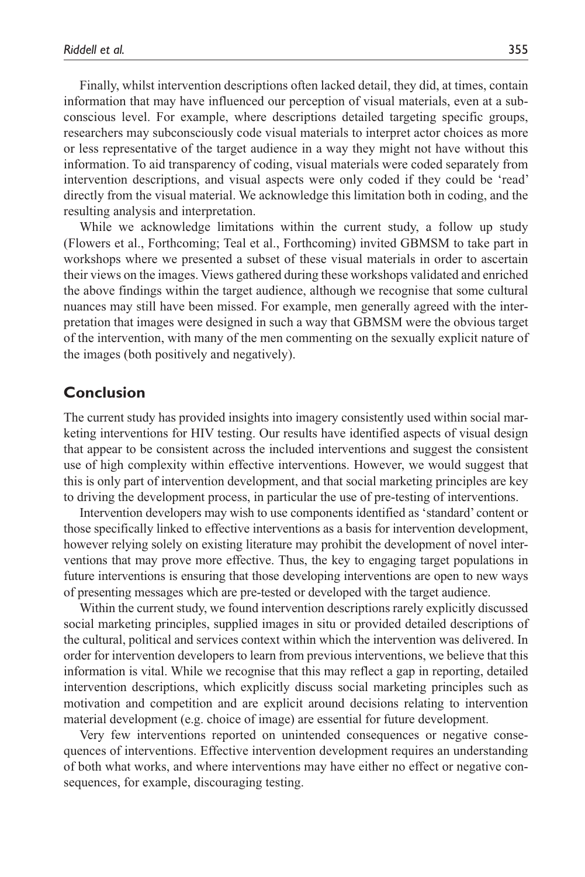Finally, whilst intervention descriptions often lacked detail, they did, at times, contain information that may have influenced our perception of visual materials, even at a subconscious level. For example, where descriptions detailed targeting specific groups, researchers may subconsciously code visual materials to interpret actor choices as more or less representative of the target audience in a way they might not have without this information. To aid transparency of coding, visual materials were coded separately from intervention descriptions, and visual aspects were only coded if they could be 'read' directly from the visual material. We acknowledge this limitation both in coding, and the resulting analysis and interpretation.

While we acknowledge limitations within the current study, a follow up study (Flowers et al., Forthcoming; Teal et al., Forthcoming) invited GBMSM to take part in workshops where we presented a subset of these visual materials in order to ascertain their views on the images. Views gathered during these workshops validated and enriched the above findings within the target audience, although we recognise that some cultural nuances may still have been missed. For example, men generally agreed with the interpretation that images were designed in such a way that GBMSM were the obvious target of the intervention, with many of the men commenting on the sexually explicit nature of the images (both positively and negatively).

# **Conclusion**

The current study has provided insights into imagery consistently used within social marketing interventions for HIV testing. Our results have identified aspects of visual design that appear to be consistent across the included interventions and suggest the consistent use of high complexity within effective interventions. However, we would suggest that this is only part of intervention development, and that social marketing principles are key to driving the development process, in particular the use of pre-testing of interventions.

Intervention developers may wish to use components identified as 'standard' content or those specifically linked to effective interventions as a basis for intervention development, however relying solely on existing literature may prohibit the development of novel interventions that may prove more effective. Thus, the key to engaging target populations in future interventions is ensuring that those developing interventions are open to new ways of presenting messages which are pre-tested or developed with the target audience.

Within the current study, we found intervention descriptions rarely explicitly discussed social marketing principles, supplied images in situ or provided detailed descriptions of the cultural, political and services context within which the intervention was delivered. In order for intervention developers to learn from previous interventions, we believe that this information is vital. While we recognise that this may reflect a gap in reporting, detailed intervention descriptions, which explicitly discuss social marketing principles such as motivation and competition and are explicit around decisions relating to intervention material development (e.g. choice of image) are essential for future development.

Very few interventions reported on unintended consequences or negative consequences of interventions. Effective intervention development requires an understanding of both what works, and where interventions may have either no effect or negative consequences, for example, discouraging testing.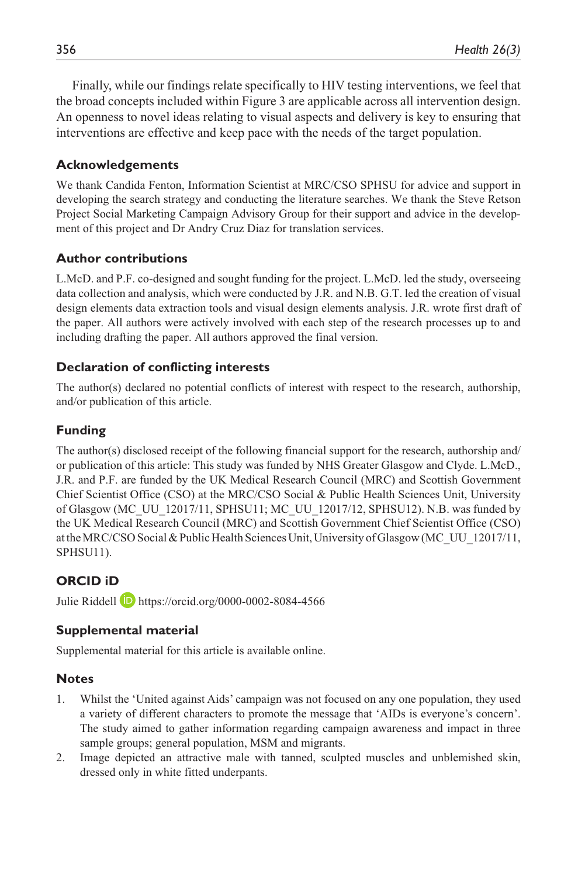Finally, while our findings relate specifically to HIV testing interventions, we feel that the broad concepts included within Figure 3 are applicable across all intervention design. An openness to novel ideas relating to visual aspects and delivery is key to ensuring that interventions are effective and keep pace with the needs of the target population.

## **Acknowledgements**

We thank Candida Fenton, Information Scientist at MRC/CSO SPHSU for advice and support in developing the search strategy and conducting the literature searches. We thank the Steve Retson Project Social Marketing Campaign Advisory Group for their support and advice in the development of this project and Dr Andry Cruz Diaz for translation services.

## **Author contributions**

L.McD. and P.F. co-designed and sought funding for the project. L.McD. led the study, overseeing data collection and analysis, which were conducted by J.R. and N.B. G.T. led the creation of visual design elements data extraction tools and visual design elements analysis. J.R. wrote first draft of the paper. All authors were actively involved with each step of the research processes up to and including drafting the paper. All authors approved the final version.

## **Declaration of conflicting interests**

The author(s) declared no potential conflicts of interest with respect to the research, authorship, and/or publication of this article.

# **Funding**

The author(s) disclosed receipt of the following financial support for the research, authorship and/ or publication of this article: This study was funded by NHS Greater Glasgow and Clyde. L.McD., J.R. and P.F. are funded by the UK Medical Research Council (MRC) and Scottish Government Chief Scientist Office (CSO) at the MRC/CSO Social & Public Health Sciences Unit, University of Glasgow (MC\_UU\_12017/11, SPHSU11; MC\_UU\_12017/12, SPHSU12). N.B. was funded by the UK Medical Research Council (MRC) and Scottish Government Chief Scientist Office (CSO) at the MRC/CSO Social & Public Health Sciences Unit, University of Glasgow (MC\_UU\_12017/11, SPHSU11).

# **ORCID iD**

Julie Riddell <https://orcid.org/0000-0002-8084-4566>

# **Supplemental material**

Supplemental material for this article is available online.

# **Notes**

- 1. Whilst the 'United against Aids' campaign was not focused on any one population, they used a variety of different characters to promote the message that 'AIDs is everyone's concern'. The study aimed to gather information regarding campaign awareness and impact in three sample groups; general population, MSM and migrants.
- 2. Image depicted an attractive male with tanned, sculpted muscles and unblemished skin, dressed only in white fitted underpants.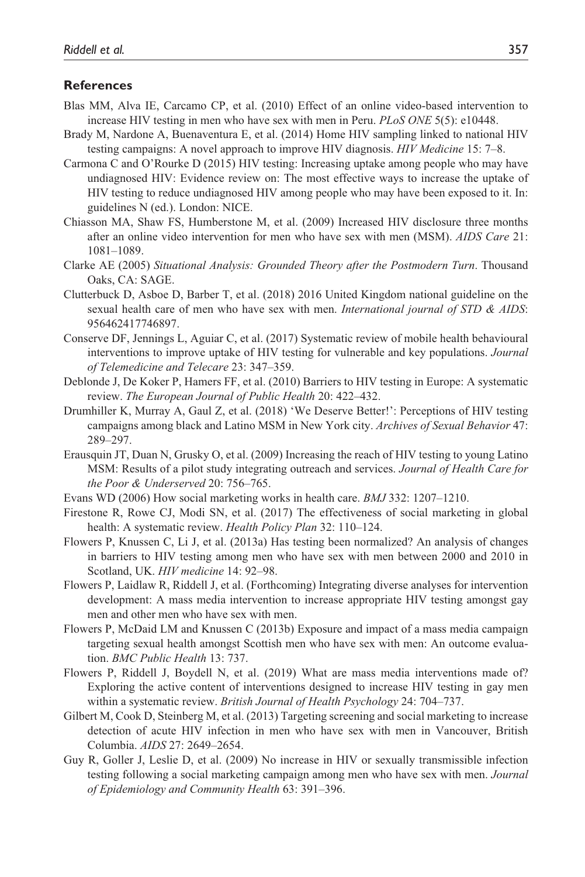#### **References**

- Blas MM, Alva IE, Carcamo CP, et al. (2010) Effect of an online video-based intervention to increase HIV testing in men who have sex with men in Peru. *PLoS ONE* 5(5): e10448.
- Brady M, Nardone A, Buenaventura E, et al. (2014) Home HIV sampling linked to national HIV testing campaigns: A novel approach to improve HIV diagnosis. *HIV Medicine* 15: 7–8.
- Carmona C and O'Rourke D (2015) HIV testing: Increasing uptake among people who may have undiagnosed HIV: Evidence review on: The most effective ways to increase the uptake of HIV testing to reduce undiagnosed HIV among people who may have been exposed to it. In: guidelines N (ed.). London: NICE.
- Chiasson MA, Shaw FS, Humberstone M, et al. (2009) Increased HIV disclosure three months after an online video intervention for men who have sex with men (MSM). *AIDS Care* 21: 1081–1089.
- Clarke AE (2005) *Situational Analysis: Grounded Theory after the Postmodern Turn*. Thousand Oaks, CA: SAGE.
- Clutterbuck D, Asboe D, Barber T, et al. (2018) 2016 United Kingdom national guideline on the sexual health care of men who have sex with men. *International journal of STD & AIDS*: 956462417746897.
- Conserve DF, Jennings L, Aguiar C, et al. (2017) Systematic review of mobile health behavioural interventions to improve uptake of HIV testing for vulnerable and key populations. *Journal of Telemedicine and Telecare* 23: 347–359.
- Deblonde J, De Koker P, Hamers FF, et al. (2010) Barriers to HIV testing in Europe: A systematic review. *The European Journal of Public Health* 20: 422–432.
- Drumhiller K, Murray A, Gaul Z, et al. (2018) 'We Deserve Better!': Perceptions of HIV testing campaigns among black and Latino MSM in New York city. *Archives of Sexual Behavior* 47: 289–297.
- Erausquin JT, Duan N, Grusky O, et al. (2009) Increasing the reach of HIV testing to young Latino MSM: Results of a pilot study integrating outreach and services. *Journal of Health Care for the Poor & Underserved* 20: 756–765.
- Evans WD (2006) How social marketing works in health care. *BMJ* 332: 1207–1210.
- Firestone R, Rowe CJ, Modi SN, et al. (2017) The effectiveness of social marketing in global health: A systematic review. *Health Policy Plan* 32: 110–124.
- Flowers P, Knussen C, Li J, et al. (2013a) Has testing been normalized? An analysis of changes in barriers to HIV testing among men who have sex with men between 2000 and 2010 in Scotland, UK. *HIV medicine* 14: 92–98.
- Flowers P, Laidlaw R, Riddell J, et al. (Forthcoming) Integrating diverse analyses for intervention development: A mass media intervention to increase appropriate HIV testing amongst gay men and other men who have sex with men.
- Flowers P, McDaid LM and Knussen C (2013b) Exposure and impact of a mass media campaign targeting sexual health amongst Scottish men who have sex with men: An outcome evaluation. *BMC Public Health* 13: 737.
- Flowers P, Riddell J, Boydell N, et al. (2019) What are mass media interventions made of? Exploring the active content of interventions designed to increase HIV testing in gay men within a systematic review. *British Journal of Health Psychology* 24: 704–737.
- Gilbert M, Cook D, Steinberg M, et al. (2013) Targeting screening and social marketing to increase detection of acute HIV infection in men who have sex with men in Vancouver, British Columbia. *AIDS* 27: 2649–2654.
- Guy R, Goller J, Leslie D, et al. (2009) No increase in HIV or sexually transmissible infection testing following a social marketing campaign among men who have sex with men. *Journal of Epidemiology and Community Health* 63: 391–396.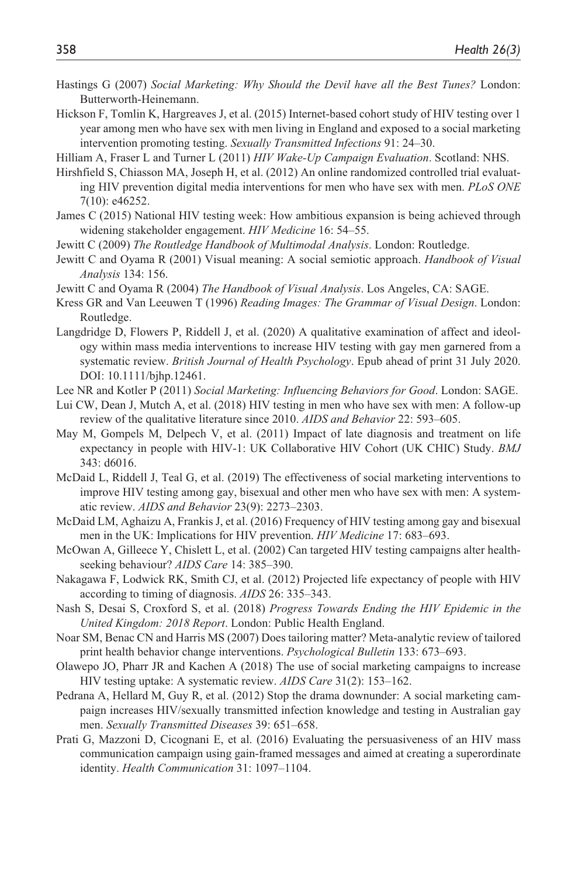- Hastings G (2007) *Social Marketing: Why Should the Devil have all the Best Tunes?* London: Butterworth-Heinemann.
- Hickson F, Tomlin K, Hargreaves J, et al. (2015) Internet-based cohort study of HIV testing over 1 year among men who have sex with men living in England and exposed to a social marketing intervention promoting testing. *Sexually Transmitted Infections* 91: 24–30.

Hilliam A, Fraser L and Turner L (2011) *HIV Wake-Up Campaign Evaluation*. Scotland: NHS.

- Hirshfield S, Chiasson MA, Joseph H, et al. (2012) An online randomized controlled trial evaluating HIV prevention digital media interventions for men who have sex with men. *PLoS ONE* 7(10): e46252.
- James C (2015) National HIV testing week: How ambitious expansion is being achieved through widening stakeholder engagement. *HIV Medicine* 16: 54–55.
- Jewitt C (2009) *The Routledge Handbook of Multimodal Analysis*. London: Routledge.
- Jewitt C and Oyama R (2001) Visual meaning: A social semiotic approach. *Handbook of Visual Analysis* 134: 156.
- Jewitt C and Oyama R (2004) *The Handbook of Visual Analysis*. Los Angeles, CA: SAGE.
- Kress GR and Van Leeuwen T (1996) *Reading Images: The Grammar of Visual Design*. London: Routledge.
- Langdridge D, Flowers P, Riddell J, et al. (2020) A qualitative examination of affect and ideology within mass media interventions to increase HIV testing with gay men garnered from a systematic review. *British Journal of Health Psychology*. Epub ahead of print 31 July 2020. [DOI: 10.1111/bjhp.12461.](DOI: 10.1111/bjhp.12461)
- Lee NR and Kotler P (2011) *Social Marketing: Influencing Behaviors for Good*. London: SAGE.
- Lui CW, Dean J, Mutch A, et al. (2018) HIV testing in men who have sex with men: A follow-up review of the qualitative literature since 2010. *AIDS and Behavior* 22: 593–605.
- May M, Gompels M, Delpech V, et al. (2011) Impact of late diagnosis and treatment on life expectancy in people with HIV-1: UK Collaborative HIV Cohort (UK CHIC) Study. *BMJ* 343: d6016.
- McDaid L, Riddell J, Teal G, et al. (2019) The effectiveness of social marketing interventions to improve HIV testing among gay, bisexual and other men who have sex with men: A systematic review. *AIDS and Behavior* 23(9): 2273–2303.
- McDaid LM, Aghaizu A, Frankis J, et al. (2016) Frequency of HIV testing among gay and bisexual men in the UK: Implications for HIV prevention. *HIV Medicine* 17: 683–693.
- McOwan A, Gilleece Y, Chislett L, et al. (2002) Can targeted HIV testing campaigns alter healthseeking behaviour? *AIDS Care* 14: 385–390.
- Nakagawa F, Lodwick RK, Smith CJ, et al. (2012) Projected life expectancy of people with HIV according to timing of diagnosis. *AIDS* 26: 335–343.
- Nash S, Desai S, Croxford S, et al. (2018) *Progress Towards Ending the HIV Epidemic in the United Kingdom: 2018 Report*. London: Public Health England.
- Noar SM, Benac CN and Harris MS (2007) Does tailoring matter? Meta-analytic review of tailored print health behavior change interventions. *Psychological Bulletin* 133: 673–693.
- Olawepo JO, Pharr JR and Kachen A (2018) The use of social marketing campaigns to increase HIV testing uptake: A systematic review. *AIDS Care* 31(2): 153–162.
- Pedrana A, Hellard M, Guy R, et al. (2012) Stop the drama downunder: A social marketing campaign increases HIV/sexually transmitted infection knowledge and testing in Australian gay men. *Sexually Transmitted Diseases* 39: 651–658.
- Prati G, Mazzoni D, Cicognani E, et al. (2016) Evaluating the persuasiveness of an HIV mass communication campaign using gain-framed messages and aimed at creating a superordinate identity. *Health Communication* 31: 1097–1104.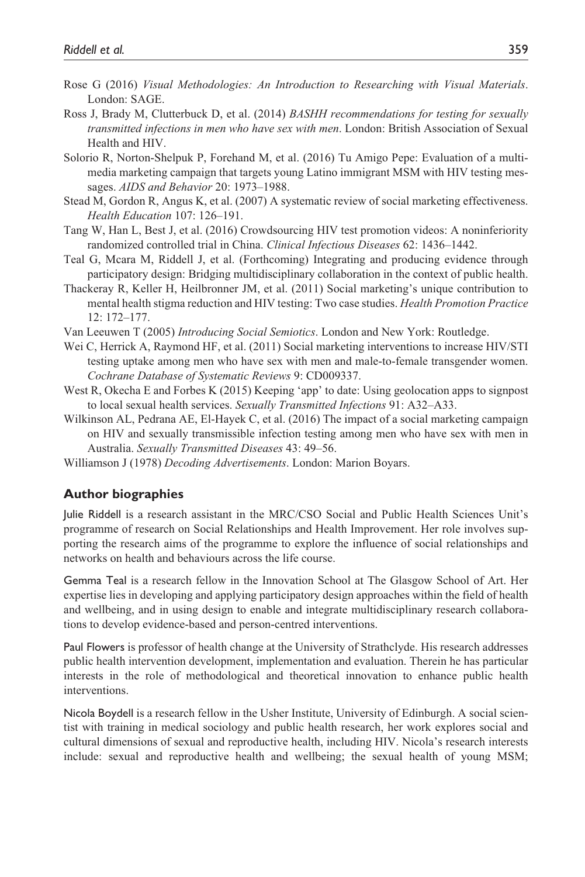- Rose G (2016) *Visual Methodologies: An Introduction to Researching with Visual Materials*. London: SAGE.
- Ross J, Brady M, Clutterbuck D, et al. (2014) *BASHH recommendations for testing for sexually transmitted infections in men who have sex with men*. London: British Association of Sexual Health and HIV.
- Solorio R, Norton-Shelpuk P, Forehand M, et al. (2016) Tu Amigo Pepe: Evaluation of a multimedia marketing campaign that targets young Latino immigrant MSM with HIV testing messages. *AIDS and Behavior* 20: 1973–1988.
- Stead M, Gordon R, Angus K, et al. (2007) A systematic review of social marketing effectiveness. *Health Education* 107: 126–191.
- Tang W, Han L, Best J, et al. (2016) Crowdsourcing HIV test promotion videos: A noninferiority randomized controlled trial in China. *Clinical Infectious Diseases* 62: 1436–1442.
- Teal G, Mcara M, Riddell J, et al. (Forthcoming) Integrating and producing evidence through participatory design: Bridging multidisciplinary collaboration in the context of public health.
- Thackeray R, Keller H, Heilbronner JM, et al. (2011) Social marketing's unique contribution to mental health stigma reduction and HIV testing: Two case studies. *Health Promotion Practice* 12: 172–177.
- Van Leeuwen T (2005) *Introducing Social Semiotics*. London and New York: Routledge.
- Wei C, Herrick A, Raymond HF, et al. (2011) Social marketing interventions to increase HIV/STI testing uptake among men who have sex with men and male-to-female transgender women. *Cochrane Database of Systematic Reviews* 9: CD009337.
- West R, Okecha E and Forbes K (2015) Keeping 'app' to date: Using geolocation apps to signpost to local sexual health services. *Sexually Transmitted Infections* 91: A32–A33.
- Wilkinson AL, Pedrana AE, El-Hayek C, et al. (2016) The impact of a social marketing campaign on HIV and sexually transmissible infection testing among men who have sex with men in Australia. *Sexually Transmitted Diseases* 43: 49–56.
- Williamson J (1978) *Decoding Advertisements*. London: Marion Boyars.

### **Author biographies**

Julie Riddell is a research assistant in the MRC/CSO Social and Public Health Sciences Unit's programme of research on Social Relationships and Health Improvement. Her role involves supporting the research aims of the programme to explore the influence of social relationships and networks on health and behaviours across the life course.

Gemma Teal is a research fellow in the Innovation School at The Glasgow School of Art. Her expertise lies in developing and applying participatory design approaches within the field of health and wellbeing, and in using design to enable and integrate multidisciplinary research collaborations to develop evidence-based and person-centred interventions.

Paul Flowers is professor of health change at the University of Strathclyde. His research addresses public health intervention development, implementation and evaluation. Therein he has particular interests in the role of methodological and theoretical innovation to enhance public health interventions.

Nicola Boydell is a research fellow in the Usher Institute, University of Edinburgh. A social scientist with training in medical sociology and public health research, her work explores social and cultural dimensions of sexual and reproductive health, including HIV. Nicola's research interests include: sexual and reproductive health and wellbeing; the sexual health of young MSM;